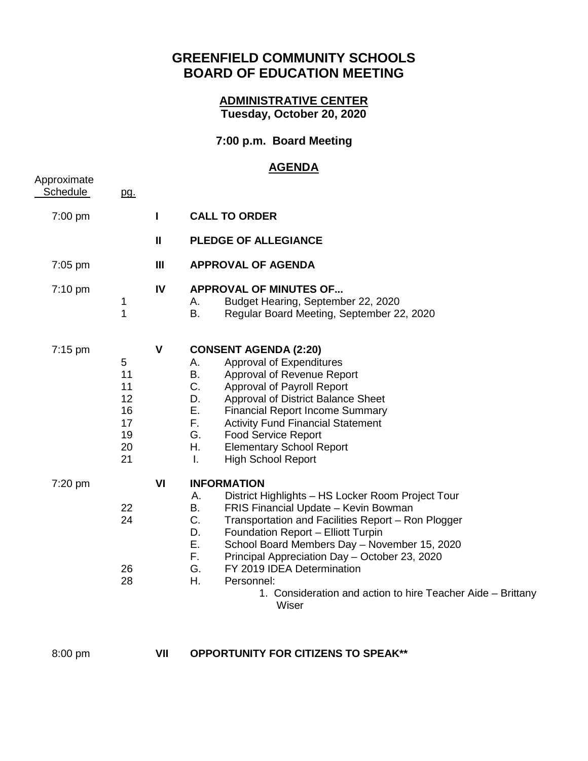## **GREENFIELD COMMUNITY SCHOOLS BOARD OF EDUCATION MEETING**

## **ADMINISTRATIVE CENTER Tuesday, October 20, 2020**

## **7:00 p.m. Board Meeting**

## **AGENDA**

| Approximate<br><b>Schedule</b> | <u>pg.</u>                                        |     |                                                                                                                                                                                                                                                                                                                                                                                                                                                                                  |
|--------------------------------|---------------------------------------------------|-----|----------------------------------------------------------------------------------------------------------------------------------------------------------------------------------------------------------------------------------------------------------------------------------------------------------------------------------------------------------------------------------------------------------------------------------------------------------------------------------|
| 7:00 pm                        |                                                   | п   | <b>CALL TO ORDER</b>                                                                                                                                                                                                                                                                                                                                                                                                                                                             |
|                                |                                                   | Ш   | <b>PLEDGE OF ALLEGIANCE</b>                                                                                                                                                                                                                                                                                                                                                                                                                                                      |
| $7:05$ pm                      |                                                   | III | <b>APPROVAL OF AGENDA</b>                                                                                                                                                                                                                                                                                                                                                                                                                                                        |
| 7:10 pm                        | 1<br>1                                            | IV  | <b>APPROVAL OF MINUTES OF</b><br>Budget Hearing, September 22, 2020<br>А.<br>B.<br>Regular Board Meeting, September 22, 2020                                                                                                                                                                                                                                                                                                                                                     |
| $7:15 \text{ pm}$              | 5<br>11<br>11<br>12<br>16<br>17<br>19<br>20<br>21 | V   | <b>CONSENT AGENDA (2:20)</b><br>Approval of Expenditures<br>Α.<br>Approval of Revenue Report<br>В.<br>C.<br>Approval of Payroll Report<br>D.<br>Approval of District Balance Sheet<br>Ε.<br><b>Financial Report Income Summary</b><br>F.<br><b>Activity Fund Financial Statement</b><br>G.<br><b>Food Service Report</b><br>Η.<br><b>Elementary School Report</b><br>$\mathbf{L}$<br><b>High School Report</b>                                                                   |
| 7:20 pm                        | 22<br>24<br>26<br>28                              | VI  | <b>INFORMATION</b><br>District Highlights - HS Locker Room Project Tour<br>А.<br>В.<br>FRIS Financial Update - Kevin Bowman<br>C.<br>Transportation and Facilities Report - Ron Plogger<br>D.<br>Foundation Report - Elliott Turpin<br>Ε.<br>School Board Members Day - November 15, 2020<br>F.<br>Principal Appreciation Day - October 23, 2020<br>G.<br>FY 2019 IDEA Determination<br>Η.<br>Personnel:<br>1. Consideration and action to hire Teacher Aide - Brittany<br>Wiser |
|                                |                                                   |     |                                                                                                                                                                                                                                                                                                                                                                                                                                                                                  |

| 8:00 pm |
|---------|
|---------|

**VII** OPPORTUNITY FOR CITIZENS TO SPEAK\*\*